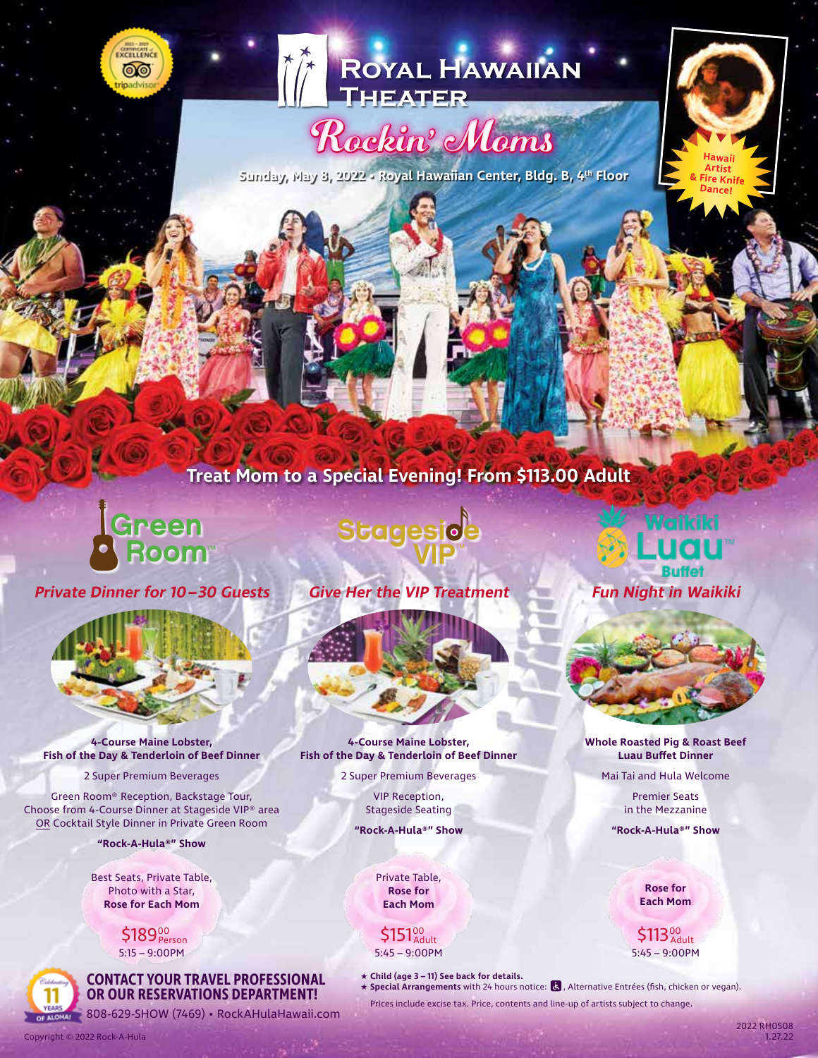



## Rockin' Moms

**Sunday, May 8, 2022 • Royal Hawaiian Center, Bldg. B, 4th Floor**

### **Treat Mom to a Special Evening! From \$113.00 Adult**

# |<br>|Green<br>| Room

**Private Dinner for 10– 30 Guests Give Her the VIP Treatment**



**4-Course Maine Lobster, Fish of the Day & Tenderloin of Beef Dinner**

2 Super Premium Beverages

Green Room® Reception, Backstage Tour, Choose from 4-Course Dinner at Stageside VIP® area OR Cocktail Style Dinner in Private Green Room

**"Rock-A-Hula®" Show**

Best Seats, Private Table, Photo with a Star, **Rose for Each Mom**

> 5:15 – 9:00PM  $$189^{\scriptscriptstyle 00}_{\scriptscriptstyle \sf Person}$

Copyright © 2022 Rock-A-Hula



**BUTERIST CONSECTED BUTER 1998** • RockAHulaHawaii.com

### Stagesioe

**4-Course Maine Lobster, Fish of the Day & Tenderloin of Beef Dinner**

> 2 Super Premium Beverages VIP Reception,

> > Stageside Seating **"Rock-A-Hula®" Show**

> > > Private Table, **Rose for Each Mom**

5:45 – 9:00PM  $$151^{\circ\circ}_{\scriptscriptstyle{\sf Addlt}}$ 

★ **Child (age 3 – 11) See back for details.**

**★ Special Arrangements** with 24 hours notice: **&** , Alternative Entrées (fish, chicken or vegan). Prices include excise tax. Price, contents and line-up of artists subject to change.



**Hawaii Artist** ire Kni<sup>.</sup> **Dance!**



**Whole Roasted Pig & Roast Beef Luau Buffet Dinner**

Mai Tai and Hula Welcome

Premier Seats in the Mezzanine

**"Rock-A-Hula®" Show**

**Rose for Each Mom**

5:45 – 9:00PM \$113%

> 2022 RH0508 1.27.22